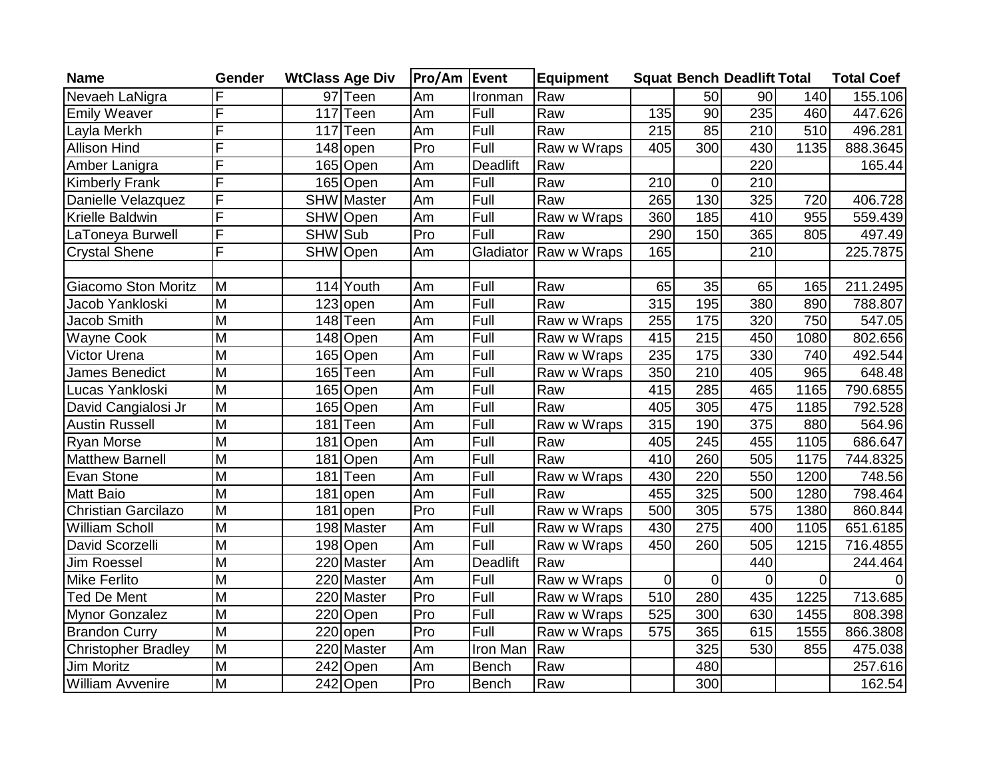| <b>Name</b>                | Gender                  | <b>WtClass Age Div</b> |            | <b>Pro/Am Event</b> |                 | <b>Equipment</b> |     |                  | <b>Squat Bench Deadlift Total</b> |                | <b>Total Coef</b> |
|----------------------------|-------------------------|------------------------|------------|---------------------|-----------------|------------------|-----|------------------|-----------------------------------|----------------|-------------------|
| Nevaeh LaNigra             |                         |                        | 97 Teen    | Am                  | Ironman         | Raw              |     | 50               | 90                                | 140            | 155.106           |
| <b>Emily Weaver</b>        | F                       | 117                    | Teen       | Am                  | Full            | Raw              | 135 | 90               | 235                               | 460            | 447.626           |
| Layla Merkh                | F                       | 117                    | Teen       | Am                  | Full            | Raw              | 215 | 85               | 210                               | 510            | 496.281           |
| <b>Allison Hind</b>        | F                       |                        | 148 open   | Pro                 | Full            | Raw w Wraps      | 405 | 300              | 430                               | 1135           | 888.3645          |
| Amber Lanigra              | F                       |                        | 165 Open   | Am                  | <b>Deadlift</b> | Raw              |     |                  | 220                               |                | 165.44            |
| <b>Kimberly Frank</b>      | F                       |                        | 165 Open   | Am                  | Full            | Raw              | 210 | $\mathbf 0$      | 210                               |                |                   |
| Danielle Velazquez         | F                       |                        | SHW Master | Am                  | Full            | Raw              | 265 | 130              | 325                               | 720            | 406.728           |
| Krielle Baldwin            | F                       |                        | SHW Open   | Am                  | Full            | Raw w Wraps      | 360 | 185              | 410                               | 955            | 559.439           |
| LaToneya Burwell           | F                       | SHW Sub                |            | Pro                 | Full            | Raw              | 290 | 150              | 365                               | 805            | 497.49            |
| <b>Crystal Shene</b>       | F                       |                        | SHW Open   | Am                  | Gladiator       | Raw w Wraps      | 165 |                  | 210                               |                | 225.7875          |
|                            |                         |                        |            |                     |                 |                  |     |                  |                                   |                |                   |
| <b>Giacomo Ston Moritz</b> | M                       |                        | 114 Youth  | Am                  | Full            | Raw              | 65  | $\overline{35}$  | 65                                | 165            | 211.2495          |
| Jacob Yankloski            | M                       |                        | 123 open   | Am                  | Full            | Raw              | 315 | 195              | 380                               | 890            | 788.807           |
| Jacob Smith                | M                       |                        | 148 Teen   | Am                  | Full            | Raw w Wraps      | 255 | 175              | 320                               | 750            | 547.05            |
| <b>Wayne Cook</b>          | $\overline{\mathsf{M}}$ |                        | 148 Open   | Am                  | Full            | Raw w Wraps      | 415 | 215              | 450                               | 1080           | 802.656           |
| Victor Urena               | $\overline{\mathsf{M}}$ |                        | 165 Open   | Am                  | Full            | Raw w Wraps      | 235 | 175              | 330                               | 740            | 492.544           |
| James Benedict             | M                       |                        | 165 Teen   | Am                  | Full            | Raw w Wraps      | 350 | 210              | 405                               | 965            | 648.48            |
| Lucas Yankloski            | M                       |                        | 165 Open   | Am                  | Full            | Raw              | 415 | 285              | 465                               | 1165           | 790.6855          |
| David Cangialosi Jr        | $\overline{M}$          |                        | 165 Open   | Am                  | Full            | Raw              | 405 | 305              | 475                               | 1185           | 792.528           |
| <b>Austin Russell</b>      | M                       | 181                    | Teen       | Am                  | Full            | Raw w Wraps      | 315 | 190              | 375                               | 880            | 564.96            |
| <b>Ryan Morse</b>          | $\overline{\mathsf{M}}$ | 181                    | Open       | Am                  | Full            | Raw              | 405 | 245              | 455                               | 1105           | 686.647           |
| <b>Matthew Barnell</b>     | M                       | 181                    | Open       | Am                  | Full            | Raw              | 410 | 260              | 505                               | 1175           | 744.8325          |
| Evan Stone                 | M                       | 181                    | Teen       | Am                  | Full            | Raw w Wraps      | 430 | 220              | 550                               | 1200           | 748.56            |
| <b>Matt Baio</b>           | $\overline{\mathsf{M}}$ | 181                    | lopen      | Am                  | Full            | Raw              | 455 | 325              | 500                               | 1280           | 798.464           |
| Christian Garcilazo        | M                       |                        | 181 open   | Pro                 | Full            | Raw w Wraps      | 500 | 305              | 575                               | 1380           | 860.844           |
| <b>William Scholl</b>      | $\overline{M}$          |                        | 198 Master | Am                  | Full            | Raw w Wraps      | 430 | $\overline{275}$ | 400                               | 1105           | 651.6185          |
| David Scorzelli            | $\overline{\mathsf{M}}$ |                        | 198 Open   | Am                  | Full            | Raw w Wraps      | 450 | 260              | 505                               | 1215           | 716.4855          |
| <b>Jim Roessel</b>         | M                       |                        | 220 Master | Am                  | <b>Deadlift</b> | Raw              |     |                  | 440                               |                | 244.464           |
| Mike Ferlito               | $\overline{\mathsf{M}}$ |                        | 220 Master | Am                  | Full            | Raw w Wraps      | 0   | 0                | $\overline{0}$                    | $\overline{0}$ |                   |
| Ted De Ment                | $\overline{\mathsf{M}}$ |                        | 220 Master | Pro                 | Full            | Raw w Wraps      | 510 | 280              | 435                               | 1225           | 713.685           |
| <b>Mynor Gonzalez</b>      | M                       |                        | 220 Open   | Pro                 | Full            | Raw w Wraps      | 525 | 300              | 630                               | 1455           | 808.398           |
| <b>Brandon Curry</b>       | M                       |                        | 220 open   | Pro                 | Full            | Raw w Wraps      | 575 | 365              | 615                               | 1555           | 866.3808          |
| <b>Christopher Bradley</b> | $\overline{M}$          |                        | 220 Master | Am                  | Iron Man        | Raw              |     | 325              | 530                               | 855            | 475.038           |
| Jim Moritz                 | M                       |                        | 242 Open   | Am                  | <b>Bench</b>    | Raw              |     | 480              |                                   |                | 257.616           |
| <b>William Avvenire</b>    | $\overline{\mathsf{M}}$ |                        | 242 Open   | Pro                 | Bench           | Raw              |     | 300              |                                   |                | 162.54            |